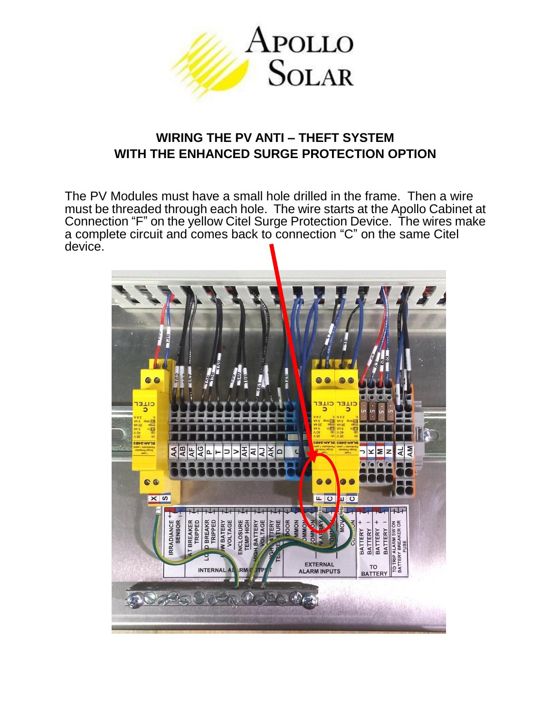

## **WIRING THE PV ANTI – THEFT SYSTEM WITH THE ENHANCED SURGE PROTECTION OPTION**

The PV Modules must have a small hole drilled in the frame. Then a wire must be threaded through each hole. The wire starts at the Apollo Cabinet at Connection "F" on the yellow Citel Surge Protection Device. The wires make a complete circuit and comes back to connection "C" on the same Citel device.

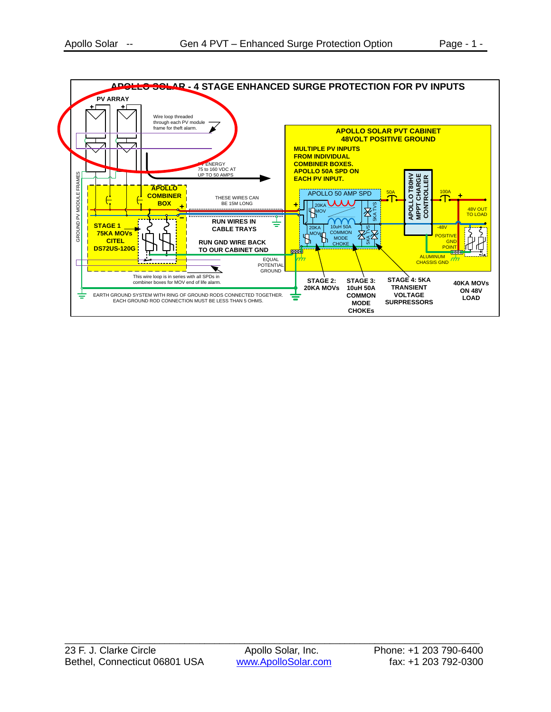![](_page_1_Figure_2.jpeg)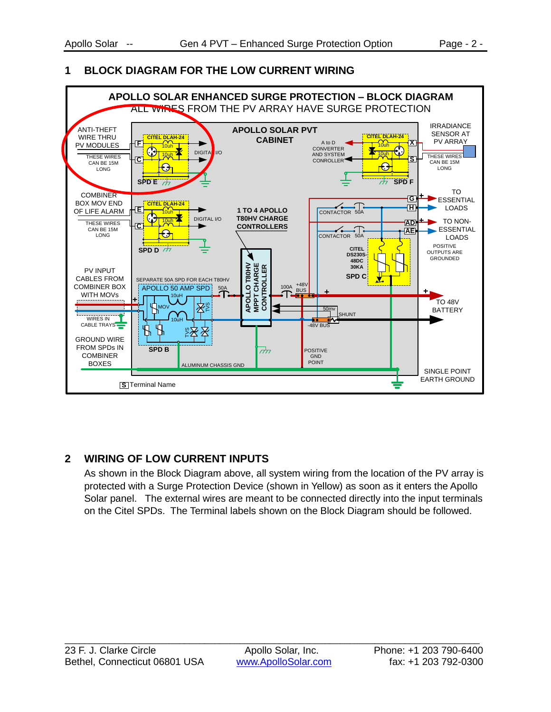## **1 BLOCK DIAGRAM FOR THE LOW CURRENT WIRING**

![](_page_2_Figure_4.jpeg)

## **2 WIRING OF LOW CURRENT INPUTS**

As shown in the Block Diagram above, all system wiring from the location of the PV array is protected with a Surge Protection Device (shown in Yellow) as soon as it enters the Apollo Solar panel. The external wires are meant to be connected directly into the input terminals on the Citel SPDs. The Terminal labels shown on the Block Diagram should be followed.